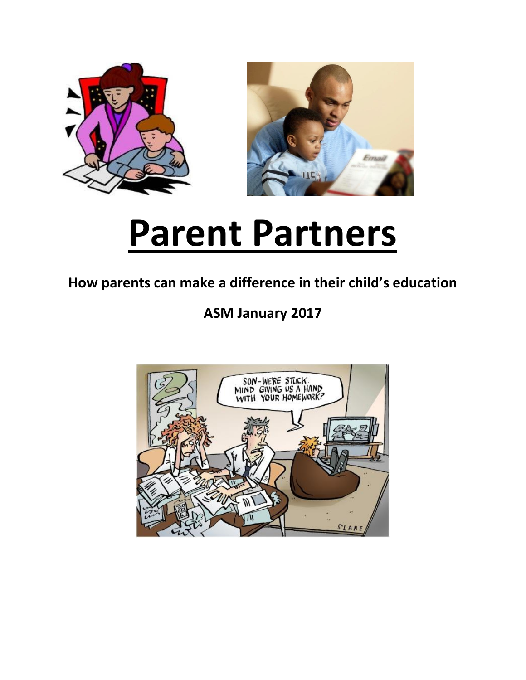



# **Parent Partners**

## **How parents can make a difference in their child's education**

## **ASM January 2017**

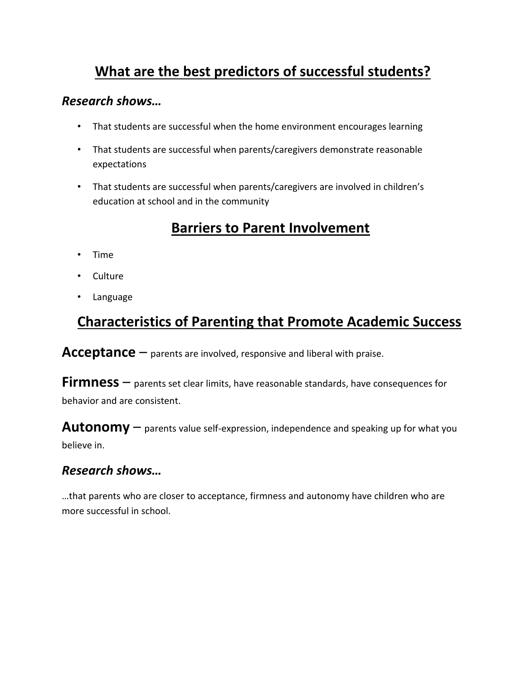## **What are the best predictors of successful students?**

#### *Research shows…*

- That students are successful when the home environment encourages learning
- That students are successful when parents/caregivers demonstrate reasonable expectations
- That students are successful when parents/caregivers are involved in children's education at school and in the community

## **Barriers to Parent Involvement**

- Time
- Culture
- Language

## **Characteristics of Parenting that Promote Academic Success**

**Acceptance** – parents are involved, responsive and liberal with praise.

**Firmness** – parents set clear limits, have reasonable standards, have consequences for behavior and are consistent.

**Autonomy** – parents value self-expression, independence and speaking up for what you believe in.

#### *Research shows…*

…that parents who are closer to acceptance, firmness and autonomy have children who are more successful in school.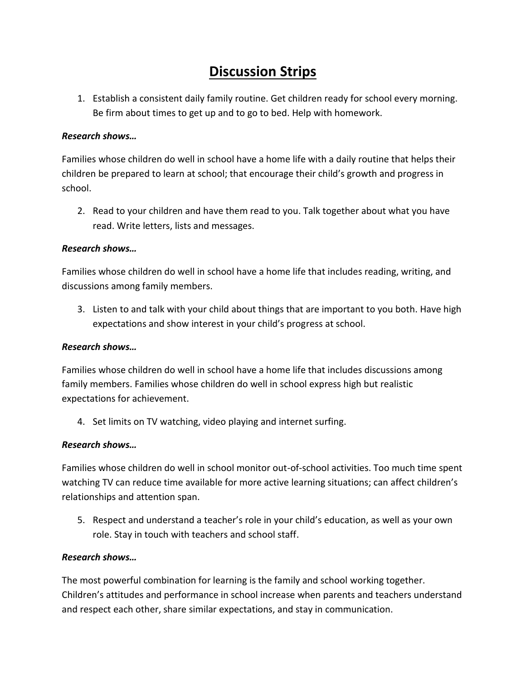## **Discussion Strips**

1. Establish a consistent daily family routine. Get children ready for school every morning. Be firm about times to get up and to go to bed. Help with homework.

#### *Research shows…*

Families whose children do well in school have a home life with a daily routine that helps their children be prepared to learn at school; that encourage their child's growth and progress in school.

2. Read to your children and have them read to you. Talk together about what you have read. Write letters, lists and messages.

#### *Research shows…*

Families whose children do well in school have a home life that includes reading, writing, and discussions among family members.

3. Listen to and talk with your child about things that are important to you both. Have high expectations and show interest in your child's progress at school.

#### *Research shows…*

Families whose children do well in school have a home life that includes discussions among family members. Families whose children do well in school express high but realistic expectations for achievement.

4. Set limits on TV watching, video playing and internet surfing.

#### *Research shows…*

Families whose children do well in school monitor out-of-school activities. Too much time spent watching TV can reduce time available for more active learning situations; can affect children's relationships and attention span.

5. Respect and understand a teacher's role in your child's education, as well as your own role. Stay in touch with teachers and school staff.

#### *Research shows…*

The most powerful combination for learning is the family and school working together. Children's attitudes and performance in school increase when parents and teachers understand and respect each other, share similar expectations, and stay in communication.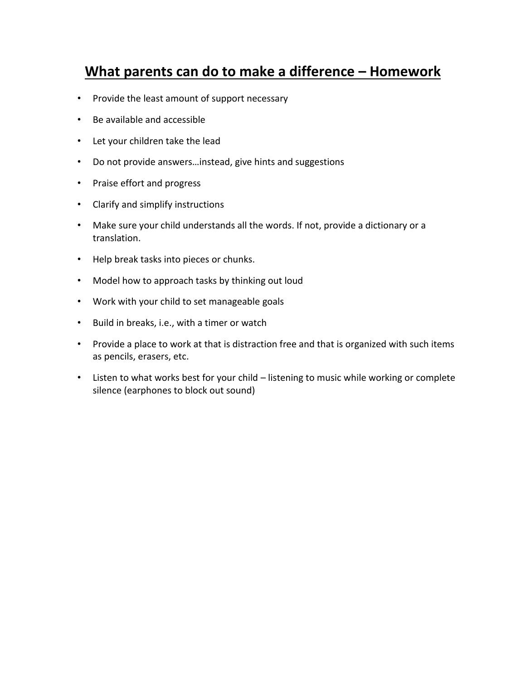### **What parents can do to make a difference – Homework**

- Provide the least amount of support necessary
- Be available and accessible
- Let your children take the lead
- Do not provide answers…instead, give hints and suggestions
- Praise effort and progress
- Clarify and simplify instructions
- Make sure your child understands all the words. If not, provide a dictionary or a translation.
- Help break tasks into pieces or chunks.
- Model how to approach tasks by thinking out loud
- Work with your child to set manageable goals
- Build in breaks, i.e., with a timer or watch
- Provide a place to work at that is distraction free and that is organized with such items as pencils, erasers, etc.
- Listen to what works best for your child listening to music while working or complete silence (earphones to block out sound)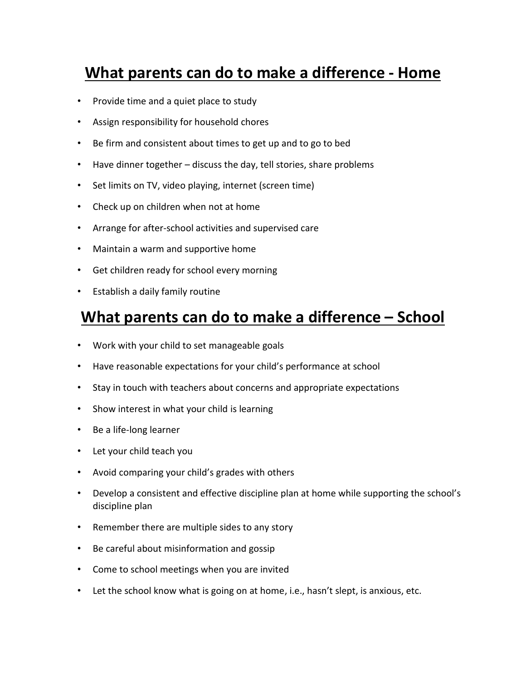## **What parents can do to make a difference - Home**

- Provide time and a quiet place to study
- Assign responsibility for household chores
- Be firm and consistent about times to get up and to go to bed
- Have dinner together discuss the day, tell stories, share problems
- Set limits on TV, video playing, internet (screen time)
- Check up on children when not at home
- Arrange for after-school activities and supervised care
- Maintain a warm and supportive home
- Get children ready for school every morning
- Establish a daily family routine

## **What parents can do to make a difference – School**

- Work with your child to set manageable goals
- Have reasonable expectations for your child's performance at school
- Stay in touch with teachers about concerns and appropriate expectations
- Show interest in what your child is learning
- Be a life-long learner
- Let your child teach you
- Avoid comparing your child's grades with others
- Develop a consistent and effective discipline plan at home while supporting the school's discipline plan
- Remember there are multiple sides to any story
- Be careful about misinformation and gossip
- Come to school meetings when you are invited
- Let the school know what is going on at home, i.e., hasn't slept, is anxious, etc.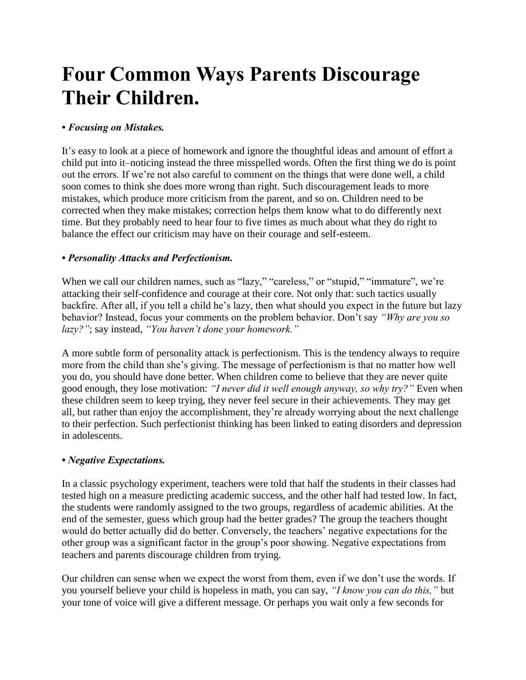## **Four Common Ways Parents Discourage Their Children.**

#### *• Focusing on Mistakes.*

It's easy to look at a piece of homework and ignore the thoughtful ideas and amount of effort a child put into it–noticing instead the three misspelled words. Often the first thing we do is point out the errors. If we're not also careful to comment on the things that were done well, a child soon comes to think she does more wrong than right. Such discouragement leads to more mistakes, which produce more criticism from the parent, and so on. Children need to be corrected when they make mistakes; correction helps them know what to do differently next time. But they probably need to hear four to five times as much about what they do right to balance the effect our criticism may have on their courage and self-esteem.

#### *• Personality Attacks and Perfectionism.*

When we call our children names, such as "lazy," "careless," or "stupid," "immature", we're attacking their self-confidence and courage at their core. Not only that: such tactics usually backfire. After all, if you tell a child he's lazy, then what should you expect in the future but lazy behavior? Instead, focus your comments on the problem behavior. Don't say *"Why are you so lazy?"*; say instead, *"You haven't done your homework."*

A more subtle form of personality attack is perfectionism. This is the tendency always to require more from the child than she's giving. The message of perfectionism is that no matter how well you do, you should have done better. When children come to believe that they are never quite good enough, they lose motivation: *"I never did it well enough anyway, so why try?"* Even when these children seem to keep trying, they never feel secure in their achievements. They may get all, but rather than enjoy the accomplishment, they're already worrying about the next challenge to their perfection. Such perfectionist thinking has been linked to eating disorders and depression in adolescents.

#### *• Negative Expectations.*

In a classic psychology experiment, teachers were told that half the students in their classes had tested high on a measure predicting academic success, and the other half had tested low. In fact, the students were randomly assigned to the two groups, regardless of academic abilities. At the end of the semester, guess which group had the better grades? The group the teachers thought would do better actually did do better. Conversely, the teachers' negative expectations for the other group was a significant factor in the group's poor showing. Negative expectations from teachers and parents discourage children from trying.

Our children can sense when we expect the worst from them, even if we don't use the words. If you yourself believe your child is hopeless in math, you can say, *"I know you can do this,"* but your tone of voice will give a different message. Or perhaps you wait only a few seconds for